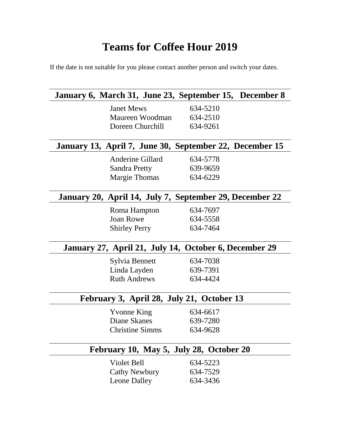## **Teams for Coffee Hour 2019**

If the date is not suitable for you please contact another person and switch your dates.

|                                           | January 6, March 31, June 23, September 15, December 8  |  |
|-------------------------------------------|---------------------------------------------------------|--|
| <b>Janet Mews</b>                         | 634-5210                                                |  |
| Maureen Woodman 634-2510                  |                                                         |  |
| Doreen Churchill 634-9261                 |                                                         |  |
|                                           | January 13, April 7, June 30, September 22, December 15 |  |
| Anderine Gillard                          | 634-5778                                                |  |
| <b>Sandra Pretty</b>                      | 639-9659                                                |  |
| <b>Margie Thomas</b>                      | 634-6229                                                |  |
|                                           | January 20, April 14, July 7, September 29, December 22 |  |
| Roma Hampton                              | 634-7697                                                |  |
| <b>Joan Rowe</b>                          | 634-5558                                                |  |
| <b>Shirley Perry</b>                      | 634-7464                                                |  |
|                                           | January 27, April 21, July 14, October 6, December 29   |  |
| Sylvia Bennett                            | 634-7038                                                |  |
| Linda Layden                              | 639-7391                                                |  |
| <b>Ruth Andrews</b>                       | 634-4424                                                |  |
| February 3, April 28, July 21, October 13 |                                                         |  |
| <b>Yvonne King</b>                        | 634-6617                                                |  |
| Diane Skanes                              | 639-7280                                                |  |
| <b>Christine Simms</b>                    | 634-9628                                                |  |
| February 10, May 5, July 28, October 20   |                                                         |  |
| Violet Bell                               | 634-5223                                                |  |
| <b>Cathy Newbury</b>                      | 634-7529                                                |  |
| <b>Leone Dalley</b>                       | 634-3436                                                |  |